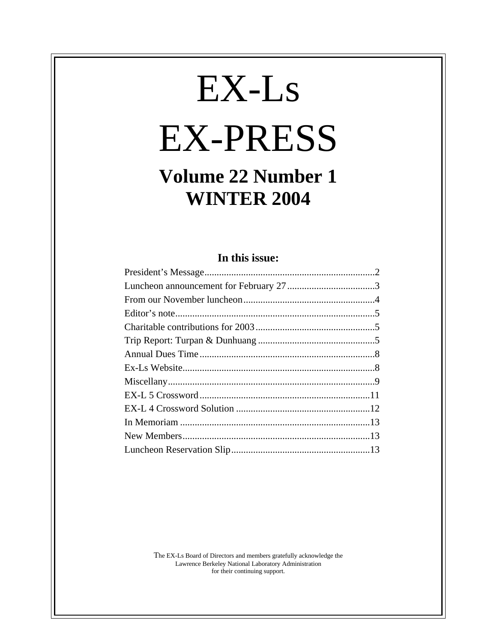# EX-Ls EX-PRESS

## **Volume 22 Number 1 WINTER 2004**

## **In this issue:**

The EX-Ls Board of Directors and members gratefully acknowledge the Lawrence Berkeley National Laboratory Administration for their continuing support.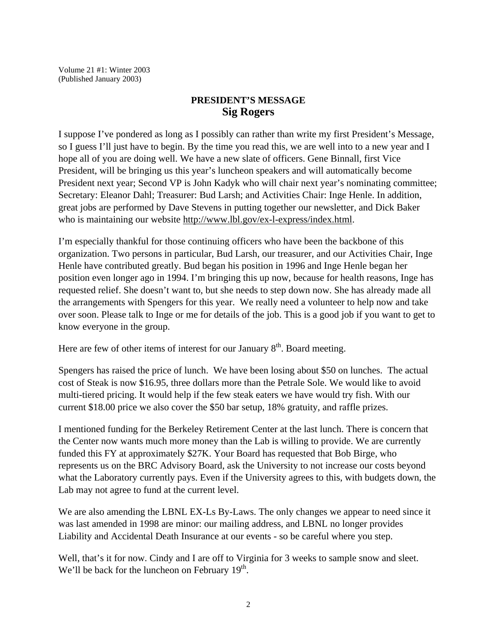Volume 21 #1: Winter 2003 (Published January 2003)

## **PRESIDENT'S MESSAGE Sig Rogers**

I suppose I've pondered as long as I possibly can rather than write my first President's Message, so I guess I'll just have to begin. By the time you read this, we are well into to a new year and I hope all of you are doing well. We have a new slate of officers. Gene Binnall, first Vice President, will be bringing us this year's luncheon speakers and will automatically become President next year; Second VP is John Kadyk who will chair next year's nominating committee; Secretary: Eleanor Dahl; Treasurer: Bud Larsh; and Activities Chair: Inge Henle. In addition, great jobs are performed by Dave Stevens in putting together our newsletter, and Dick Baker who is maintaining our website http://www.lbl.gov/ex-l-express/index.html.

I'm especially thankful for those continuing officers who have been the backbone of this organization. Two persons in particular, Bud Larsh, our treasurer, and our Activities Chair, Inge Henle have contributed greatly. Bud began his position in 1996 and Inge Henle began her position even longer ago in 1994. I'm bringing this up now, because for health reasons, Inge has requested relief. She doesn't want to, but she needs to step down now. She has already made all the arrangements with Spengers for this year. We really need a volunteer to help now and take over soon. Please talk to Inge or me for details of the job. This is a good job if you want to get to know everyone in the group.

Here are few of other items of interest for our January  $8<sup>th</sup>$ . Board meeting.

Spengers has raised the price of lunch. We have been losing about \$50 on lunches. The actual cost of Steak is now \$16.95, three dollars more than the Petrale Sole. We would like to avoid multi-tiered pricing. It would help if the few steak eaters we have would try fish. With our current \$18.00 price we also cover the \$50 bar setup, 18% gratuity, and raffle prizes.

I mentioned funding for the Berkeley Retirement Center at the last lunch. There is concern that the Center now wants much more money than the Lab is willing to provide. We are currently funded this FY at approximately \$27K. Your Board has requested that Bob Birge, who represents us on the BRC Advisory Board, ask the University to not increase our costs beyond what the Laboratory currently pays. Even if the University agrees to this, with budgets down, the Lab may not agree to fund at the current level.

We are also amending the LBNL EX-Ls By-Laws. The only changes we appear to need since it was last amended in 1998 are minor: our mailing address, and LBNL no longer provides Liability and Accidental Death Insurance at our events - so be careful where you step.

Well, that's it for now. Cindy and I are off to Virginia for 3 weeks to sample snow and sleet. We'll be back for the luncheon on February 19<sup>th</sup>.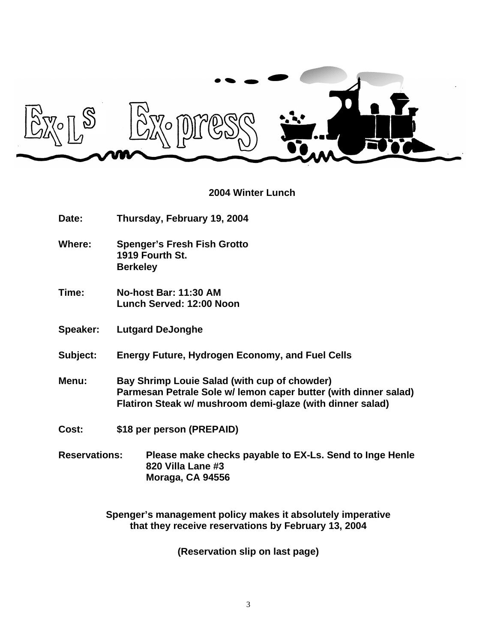

#### **2004 Winter Lunch**

- **Date: Thursday, February 19, 2004**
- **Where: Spenger's Fresh Fish Grotto 1919 Fourth St. Berkeley**
- **Time: No-host Bar: 11:30 AM Lunch Served: 12:00 Noon**
- **Speaker: Lutgard DeJonghe**
- **Subject: Energy Future, Hydrogen Economy, and Fuel Cells**
- **Menu: Bay Shrimp Louie Salad (with cup of chowder) Parmesan Petrale Sole w/ lemon caper butter (with dinner salad) Flatiron Steak w/ mushroom demi-glaze (with dinner salad)**
- **Cost: \$18 per person (PREPAID)**
- **Reservations: Please make checks payable to EX-Ls. Send to Inge Henle 820 Villa Lane #3 Moraga, CA 94556**

**Spenger's management policy makes it absolutely imperative that they receive reservations by February 13, 2004**

**(Reservation slip on last page)**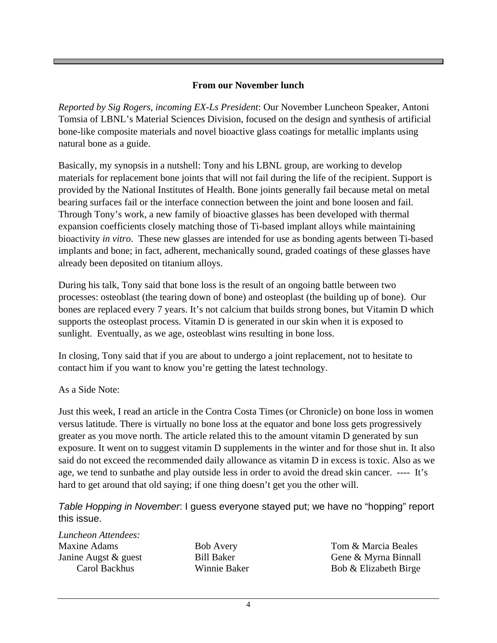## **From our November lunch**

*Reported by Sig Rogers, incoming EX-Ls President*: Our November Luncheon Speaker, Antoni Tomsia of LBNL's Material Sciences Division, focused on the design and synthesis of artificial bone-like composite materials and novel bioactive glass coatings for metallic implants using natural bone as a guide.

Basically, my synopsis in a nutshell: Tony and his LBNL group, are working to develop materials for replacement bone joints that will not fail during the life of the recipient. Support is provided by the National Institutes of Health. Bone joints generally fail because metal on metal bearing surfaces fail or the interface connection between the joint and bone loosen and fail. Through Tony's work, a new family of bioactive glasses has been developed with thermal expansion coefficients closely matching those of Ti-based implant alloys while maintaining bioactivity *in vitro*. These new glasses are intended for use as bonding agents between Ti-based implants and bone; in fact, adherent, mechanically sound, graded coatings of these glasses have already been deposited on titanium alloys.

During his talk, Tony said that bone loss is the result of an ongoing battle between two processes: osteoblast (the tearing down of bone) and osteoplast (the building up of bone). Our bones are replaced every 7 years. It's not calcium that builds strong bones, but Vitamin D which supports the osteoplast process. Vitamin D is generated in our skin when it is exposed to sunlight. Eventually, as we age, osteoblast wins resulting in bone loss.

In closing, Tony said that if you are about to undergo a joint replacement, not to hesitate to contact him if you want to know you're getting the latest technology.

As a Side Note:

Just this week, I read an article in the Contra Costa Times (or Chronicle) on bone loss in women versus latitude. There is virtually no bone loss at the equator and bone loss gets progressively greater as you move north. The article related this to the amount vitamin D generated by sun exposure. It went on to suggest vitamin D supplements in the winter and for those shut in. It also said do not exceed the recommended daily allowance as vitamin D in excess is toxic. Also as we age, we tend to sunbathe and play outside less in order to avoid the dread skin cancer. ---- It's hard to get around that old saying; if one thing doesn't get you the other will.

*Table Hopping in November*: I guess everyone stayed put; we have no "hopping" report this issue.

*Luncheon Attendees:* Maxine Adams Janine Augst & guest Carol Backhus

Bob Avery Bill Baker Winnie Baker Tom & Marcia Beales Gene & Myrna Binnall Bob & Elizabeth Birge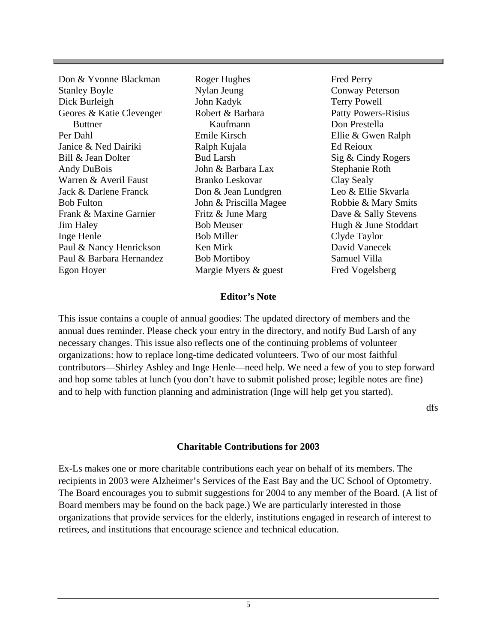| Don & Yvonne Blackman    | Roger Hughes           | <b>Fred Perry</b>          |
|--------------------------|------------------------|----------------------------|
| <b>Stanley Boyle</b>     | Nylan Jeung            | Conway Peterson            |
| Dick Burleigh            | John Kadyk             | <b>Terry Powell</b>        |
| Geores & Katie Clevenger | Robert & Barbara       | <b>Patty Powers-Risius</b> |
| <b>Buttner</b>           | Kaufmann               | Don Prestella              |
| Per Dahl                 | Emile Kirsch           | Ellie & Gwen Ralph         |
| Janice & Ned Dairiki     | Ralph Kujala           | Ed Reioux                  |
| Bill & Jean Dolter       | <b>Bud Larsh</b>       | Sig & Cindy Rogers         |
| Andy DuBois              | John & Barbara Lax     | Stephanie Roth             |
| Warren & Averil Faust    | <b>Branko Leskovar</b> | Clay Sealy                 |
| Jack & Darlene Franck    | Don & Jean Lundgren    | Leo & Ellie Skvarla        |
| <b>Bob Fulton</b>        | John & Priscilla Magee | Robbie & Mary Smits        |
| Frank & Maxine Garnier   | Fritz & June Marg      | Dave & Sally Stevens       |
| Jim Haley                | <b>Bob Meuser</b>      | Hugh & June Stoddart       |
| Inge Henle               | <b>Bob Miller</b>      | Clyde Taylor               |
| Paul & Nancy Henrickson  | Ken Mirk               | David Vanecek              |
| Paul & Barbara Hernandez | <b>Bob Mortiboy</b>    | Samuel Villa               |
| Egon Hoyer               | Margie Myers & guest   | Fred Vogelsberg            |

#### **Editor's Note**

This issue contains a couple of annual goodies: The updated directory of members and the annual dues reminder. Please check your entry in the directory, and notify Bud Larsh of any necessary changes. This issue also reflects one of the continuing problems of volunteer organizations: how to replace long-time dedicated volunteers. Two of our most faithful contributors—Shirley Ashley and Inge Henle—need help. We need a few of you to step forward and hop some tables at lunch (you don't have to submit polished prose; legible notes are fine) and to help with function planning and administration (Inge will help get you started).

dfs

#### **Charitable Contributions for 2003**

Ex-Ls makes one or more charitable contributions each year on behalf of its members. The recipients in 2003 were Alzheimer's Services of the East Bay and the UC School of Optometry. The Board encourages you to submit suggestions for 2004 to any member of the Board. (A list of Board members may be found on the back page.) We are particularly interested in those organizations that provide services for the elderly, institutions engaged in research of interest to retirees, and institutions that encourage science and technical education.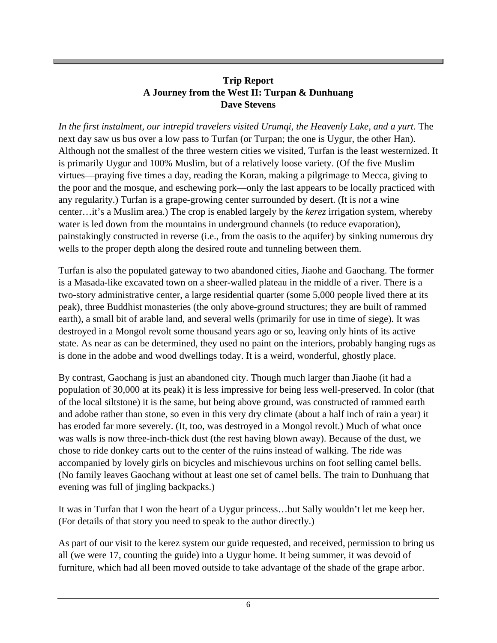## **Trip Report A Journey from the West II: Turpan & Dunhuang Dave Stevens**

In the first instalment, our intrepid travelers visited Urumqi, the Heavenly Lake, and a yurt. The next day saw us bus over a low pass to Turfan (or Turpan; the one is Uygur, the other Han). Although not the smallest of the three western cities we visited, Turfan is the least westernized. It is primarily Uygur and 100% Muslim, but of a relatively loose variety. (Of the five Muslim virtues—praying five times a day, reading the Koran, making a pilgrimage to Mecca, giving to the poor and the mosque, and eschewing pork—only the last appears to be locally practiced with any regularity.) Turfan is a grape-growing center surrounded by desert. (It is *not* a wine center…it's a Muslim area.) The crop is enabled largely by the *kerez* irrigation system, whereby water is led down from the mountains in underground channels (to reduce evaporation), painstakingly constructed in reverse (i.e., from the oasis to the aquifer) by sinking numerous dry wells to the proper depth along the desired route and tunneling between them.

Turfan is also the populated gateway to two abandoned cities, Jiaohe and Gaochang. The former is a Masada-like excavated town on a sheer-walled plateau in the middle of a river. There is a two-story administrative center, a large residential quarter (some 5,000 people lived there at its peak), three Buddhist monasteries (the only above-ground structures; they are built of rammed earth), a small bit of arable land, and several wells (primarily for use in time of siege). It was destroyed in a Mongol revolt some thousand years ago or so, leaving only hints of its active state. As near as can be determined, they used no paint on the interiors, probably hanging rugs as is done in the adobe and wood dwellings today. It is a weird, wonderful, ghostly place.

By contrast, Gaochang is just an abandoned city. Though much larger than Jiaohe (it had a population of 30,000 at its peak) it is less impressive for being less well-preserved. In color (that of the local siltstone) it is the same, but being above ground, was constructed of rammed earth and adobe rather than stone, so even in this very dry climate (about a half inch of rain a year) it has eroded far more severely. (It, too, was destroyed in a Mongol revolt.) Much of what once was walls is now three-inch-thick dust (the rest having blown away). Because of the dust, we chose to ride donkey carts out to the center of the ruins instead of walking. The ride was accompanied by lovely girls on bicycles and mischievous urchins on foot selling camel bells. (No family leaves Gaochang without at least one set of camel bells. The train to Dunhuang that evening was full of jingling backpacks.)

It was in Turfan that I won the heart of a Uygur princess…but Sally wouldn't let me keep her. (For details of that story you need to speak to the author directly.)

As part of our visit to the kerez system our guide requested, and received, permission to bring us all (we were 17, counting the guide) into a Uygur home. It being summer, it was devoid of furniture, which had all been moved outside to take advantage of the shade of the grape arbor.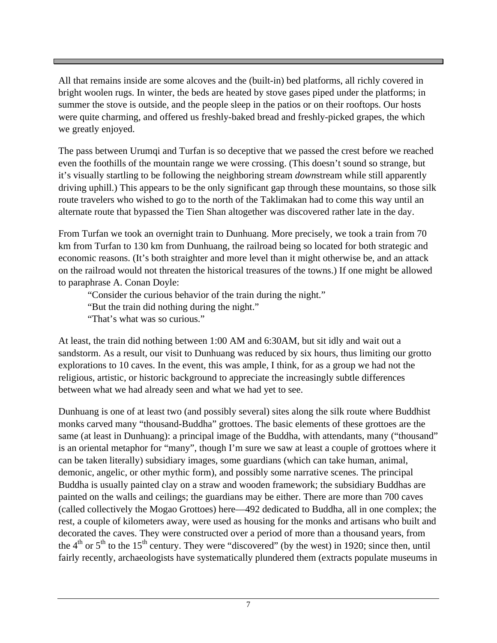All that remains inside are some alcoves and the (built-in) bed platforms, all richly covered in bright woolen rugs. In winter, the beds are heated by stove gases piped under the platforms; in summer the stove is outside, and the people sleep in the patios or on their rooftops. Our hosts were quite charming, and offered us freshly-baked bread and freshly-picked grapes, the which we greatly enjoyed.

The pass between Urumqi and Turfan is so deceptive that we passed the crest before we reached even the foothills of the mountain range we were crossing. (This doesn't sound so strange, but it's visually startling to be following the neighboring stream *down*stream while still apparently driving uphill.) This appears to be the only significant gap through these mountains, so those silk route travelers who wished to go to the north of the Taklimakan had to come this way until an alternate route that bypassed the Tien Shan altogether was discovered rather late in the day.

From Turfan we took an overnight train to Dunhuang. More precisely, we took a train from 70 km from Turfan to 130 km from Dunhuang, the railroad being so located for both strategic and economic reasons. (It's both straighter and more level than it might otherwise be, and an attack on the railroad would not threaten the historical treasures of the towns.) If one might be allowed to paraphrase A. Conan Doyle:

"Consider the curious behavior of the train during the night."

"But the train did nothing during the night."

"That's what was so curious."

At least, the train did nothing between 1:00 AM and 6:30AM, but sit idly and wait out a sandstorm. As a result, our visit to Dunhuang was reduced by six hours, thus limiting our grotto explorations to 10 caves. In the event, this was ample, I think, for as a group we had not the religious, artistic, or historic background to appreciate the increasingly subtle differences between what we had already seen and what we had yet to see.

Dunhuang is one of at least two (and possibly several) sites along the silk route where Buddhist monks carved many "thousand-Buddha" grottoes. The basic elements of these grottoes are the same (at least in Dunhuang): a principal image of the Buddha, with attendants, many ("thousand" is an oriental metaphor for "many", though I'm sure we saw at least a couple of grottoes where it can be taken literally) subsidiary images, some guardians (which can take human, animal, demonic, angelic, or other mythic form), and possibly some narrative scenes. The principal Buddha is usually painted clay on a straw and wooden framework; the subsidiary Buddhas are painted on the walls and ceilings; the guardians may be either. There are more than 700 caves (called collectively the Mogao Grottoes) here—492 dedicated to Buddha, all in one complex; the rest, a couple of kilometers away, were used as housing for the monks and artisans who built and decorated the caves. They were constructed over a period of more than a thousand years, from the  $4<sup>th</sup>$  or  $5<sup>th</sup>$  to the 15<sup>th</sup> century. They were "discovered" (by the west) in 1920; since then, until fairly recently, archaeologists have systematically plundered them (extracts populate museums in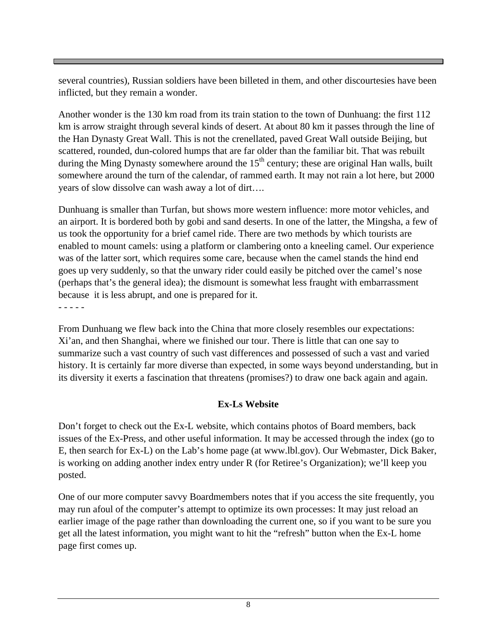several countries), Russian soldiers have been billeted in them, and other discourtesies have been inflicted, but they remain a wonder.

Another wonder is the 130 km road from its train station to the town of Dunhuang: the first 112 km is arrow straight through several kinds of desert. At about 80 km it passes through the line of the Han Dynasty Great Wall. This is not the crenellated, paved Great Wall outside Beijing, but scattered, rounded, dun-colored humps that are far older than the familiar bit. That was rebuilt during the Ming Dynasty somewhere around the  $15<sup>th</sup>$  century; these are original Han walls, built somewhere around the turn of the calendar, of rammed earth. It may not rain a lot here, but 2000 years of slow dissolve can wash away a lot of dirt….

Dunhuang is smaller than Turfan, but shows more western influence: more motor vehicles, and an airport. It is bordered both by gobi and sand deserts. In one of the latter, the Mingsha, a few of us took the opportunity for a brief camel ride. There are two methods by which tourists are enabled to mount camels: using a platform or clambering onto a kneeling camel. Our experience was of the latter sort, which requires some care, because when the camel stands the hind end goes up very suddenly, so that the unwary rider could easily be pitched over the camel's nose (perhaps that's the general idea); the dismount is somewhat less fraught with embarrassment because it is less abrupt, and one is prepared for it.

From Dunhuang we flew back into the China that more closely resembles our expectations: Xi'an, and then Shanghai, where we finished our tour. There is little that can one say to summarize such a vast country of such vast differences and possessed of such a vast and varied history. It is certainly far more diverse than expected, in some ways beyond understanding, but in its diversity it exerts a fascination that threatens (promises?) to draw one back again and again.

## **Ex-Ls Website**

Don't forget to check out the Ex-L website, which contains photos of Board members, back issues of the Ex-Press, and other useful information. It may be accessed through the index (go to E, then search for Ex-L) on the Lab's home page (at www.lbl.gov). Our Webmaster, Dick Baker, is working on adding another index entry under R (for Retiree's Organization); we'll keep you posted.

One of our more computer savvy Boardmembers notes that if you access the site frequently, you may run afoul of the computer's attempt to optimize its own processes: It may just reload an earlier image of the page rather than downloading the current one, so if you want to be sure you get all the latest information, you might want to hit the "refresh" button when the Ex-L home page first comes up.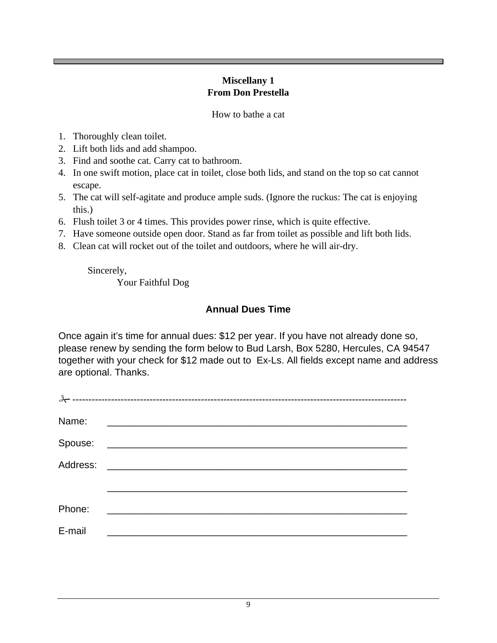## **Miscellany 1 From Don Prestella**

How to bathe a cat

- 1. Thoroughly clean toilet.
- 2. Lift both lids and add shampoo.
- 3. Find and soothe cat. Carry cat to bathroom.
- 4. In one swift motion, place cat in toilet, close both lids, and stand on the top so cat cannot escape.
- 5. The cat will self-agitate and produce ample suds. (Ignore the ruckus: The cat is enjoying this.)
- 6. Flush toilet 3 or 4 times. This provides power rinse, which is quite effective.
- 7. Have someone outside open door. Stand as far from toilet as possible and lift both lids.
- 8. Clean cat will rocket out of the toilet and outdoors, where he will air-dry.

Sincerely, Your Faithful Dog

## **Annual Dues Time**

Once again it's time for annual dues: \$12 per year. If you have not already done so, please renew by sending the form below to Bud Larsh, Box 5280, Hercules, CA 94547 together with your check for \$12 made out to Ex-Ls. All fields except name and address are optional. Thanks.

| Name:  | <u> 2000 - 2000 - 2000 - 2000 - 2000 - 2000 - 2000 - 2000 - 2000 - 2000 - 2000 - 2000 - 2000 - 2000 - 2000 - 200</u> |
|--------|----------------------------------------------------------------------------------------------------------------------|
|        |                                                                                                                      |
|        |                                                                                                                      |
|        |                                                                                                                      |
| Phone: | <u> 1980 - Andrea Britain, president e popularista e a presidente de la propia de la presidente de la propia del</u> |
| E-mail | <u> 1989 - Jan Jan Jawa Barat, masjid a shekara t</u>                                                                |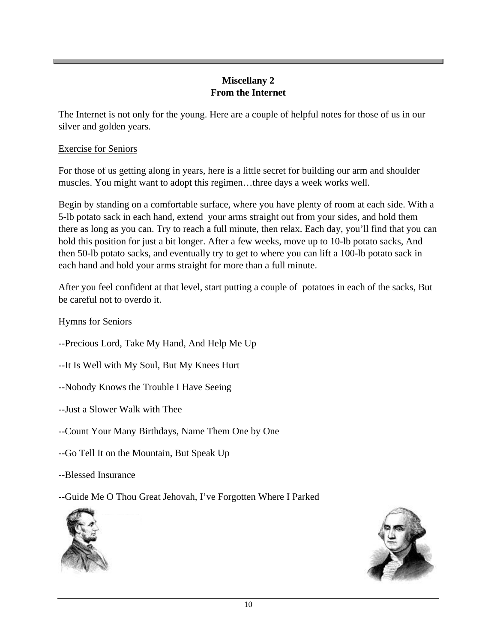## **Miscellany 2 From the Internet**

The Internet is not only for the young. Here are a couple of helpful notes for those of us in our silver and golden years.

## Exercise for Seniors

For those of us getting along in years, here is a little secret for building our arm and shoulder muscles. You might want to adopt this regimen…three days a week works well.

Begin by standing on a comfortable surface, where you have plenty of room at each side. With a 5-lb potato sack in each hand, extend your arms straight out from your sides, and hold them there as long as you can. Try to reach a full minute, then relax. Each day, you'll find that you can hold this position for just a bit longer. After a few weeks, move up to 10-lb potato sacks, And then 50-lb potato sacks, and eventually try to get to where you can lift a 100-lb potato sack in each hand and hold your arms straight for more than a full minute.

After you feel confident at that level, start putting a couple of potatoes in each of the sacks, But be careful not to overdo it.

## Hymns for Seniors

- --Precious Lord, Take My Hand, And Help Me Up
- --It Is Well with My Soul, But My Knees Hurt
- --Nobody Knows the Trouble I Have Seeing
- --Just a Slower Walk with Thee
- --Count Your Many Birthdays, Name Them One by One
- --Go Tell It on the Mountain, But Speak Up
- --Blessed Insurance
- --Guide Me O Thou Great Jehovah, I've Forgotten Where I Parked



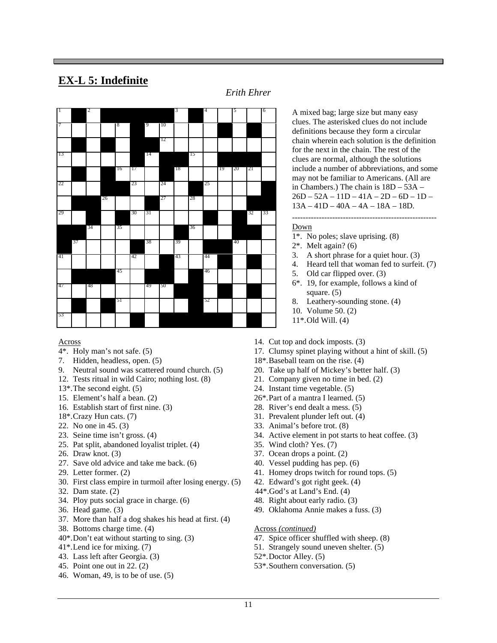## **EX-L 5: Indefinite**

*Erith Ehrer*



#### Across

- 4\*. Holy man's not safe. (5)
- 7. Hidden, headless, open. (5)
- 9. Neutral sound was scattered round church. (5)
- 12. Tests ritual in wild Cairo; nothing lost. (8)
- 13\*.The second eight. (5)
- 15. Element's half a bean. (2)
- 16. Establish start of first nine. (3)
- 18\*.Crazy Hun cats. (7)
- 22. No one in 45. (3)
- 23. Seine time isn't gross. (4)
- 25. Pat split, abandoned loyalist triplet. (4)
- 26. Draw knot. (3)
- 27. Save old advice and take me back. (6)
- 29. Letter former. (2)
- 30. First class empire in turmoil after losing energy. (5)
- 32. Dam state. (2)
- 34. Ploy puts social grace in charge. (6)
- 36. Head game. (3)
- 37. More than half a dog shakes his head at first. (4)
- 38. Bottoms charge time. (4)
- 40\*.Don't eat without starting to sing. (3)
- 41\*.Lend ice for mixing. (7)
- 43. Lass left after Georgia. (3)
- 45. Point one out in 22. (2)
- 46. Woman, 49, is to be of use. (5)

A mixed bag; large size but many easy clues. The asterisked clues do not include definitions because they form a circular chain wherein each solution is the definition for the next in the chain. The rest of the clues are normal, although the solutions include a number of abbreviations, and some may not be familiar to Americans. (All are in Chambers.) The chain is 18D – 53A –  $26D - 52A - 11D - 41A - 2D - 6D - 1D -$ 13A – 41D – 40A – 4A – 18A – 18D.

#### Down

- 1\*. No poles; slave uprising. (8)
- 2\*. Melt again? (6)
- 3. A short phrase for a quiet hour. (3)
- 4. Heard tell that woman fed to surfeit. (7)

------------------------------------------------------

- 5. Old car flipped over. (3)
- 6\*. 19, for example, follows a kind of square.  $(5)$
- 8. Leathery-sounding stone. (4)
- 10. Volume 50. (2)
- 11\*.Old Will. (4)
- 14. Cut top and dock imposts. (3)
- 17. Clumsy spinet playing without a hint of skill. (5)
- 18\*.Baseball team on the rise. (4)
- 20. Take up half of Mickey's better half. (3)
- 21. Company given no time in bed. (2)
- 24. Instant time vegetable. (5)
- 26\*.Part of a mantra I learned. (5)
- 28. River's end dealt a mess. (5)
- 31. Prevalent plunder left out. (4)
- 33. Animal's before trot. (8)
- 34. Active element in pot starts to heat coffee. (3)
- 35. Wind cloth? Yes. (7)
- 37. Ocean drops a point. (2)
- 40. Vessel pudding has pep. (6)
- 41. Homey drops twitch for round tops. (5)
- 42. Edward's got right geek. (4)
- 44\*.God's at Land's End. (4)
- 48. Right about early radio. (3)
- 49. Oklahoma Annie makes a fuss. (3)

#### Across *(continued)*

- 47. Spice officer shuffled with sheep. (8)
- 51. Strangely sound uneven shelter. (5)
- 52\*.Doctor Alley. (5)
- 53\*.Southern conversation. (5)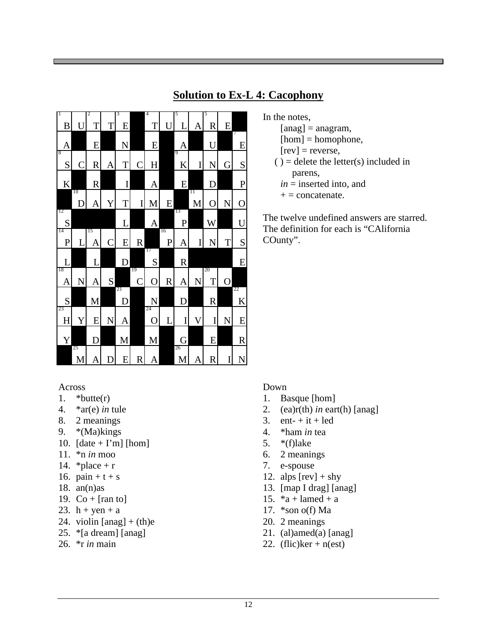#### 1 B U 2 T T 3 E 4 T U 5  $\overline{L}$ 5 R E A E N E A U 7 E 8  $S C R A T C H$ 9  $K$  I N G S K R I A E D P 10  $D$  A Y T IM E 11  $M$  O  $N$  O 12 S L A 13 P W U 14  $\overline{P}$ 15  $A \begin{bmatrix} C \end{bmatrix} E \begin{bmatrix} R \end{bmatrix}$ 16 P A I N T S L L D 17 S R E 18  $A \times A$  S 19  $C|O|R|A|N$ 20 T O S M 21 D N D R 22 K 23  $H Y E N A$ 24 O L I V I N E Y D M M G E R 25  $M$   $A$   $D$   $E$   $R$   $A$ 26  $M A R$

## **Solution to Ex-L 4: Cacophony**

- In the notes,
	- $[ang] = angram,$
	- $[hom] = homophone,$
	- $[rev]$  = reverse,
	- $()$  = delete the letter(s) included in parens,
		- *in* = inserted into, and
	- $+$  = concatenate.

The twelve undefined answers are starred. The definition for each is "CAlifornia COunty".

## Across

- 1.  $*$ butte $(r)$
- 4. \*ar(e) *in* tule
- 8. 2 meanings
- 9. \*(Ma)kings
- 10.  $[date + I'm] [hom]$
- 11. \*n *in* moo
- 14. \* place +  $r$
- 16.  $pain + t + s$
- 18.  $an(n)$ as
- 19.  $Co + [ran to]$
- 23.  $h + yen + a$
- 24. violin  $[ang] + (th)e$
- 25. \*[a dream] [anag]
- 26. \*r *in* main

## Down

- 1. Basque [hom]
- 2. (ea)r(th) *in* eart(h) [anag]
- 3. ent-  $+$  it  $+$  led
- 4. \*ham *in* tea
- 5. \*(f)lake
- 6. 2 meanings
- 7. e-spouse
- 12. alps  $[rev] + s$ hy
- 13. [map I drag] [anag]
- 15.  $a + \text{lambda} + a$
- 17.  $*$ son o(f) Ma
- 20. 2 meanings
- 21. (al)amed(a)  $[ang]$
- 22. (flic) $ker + n (est)$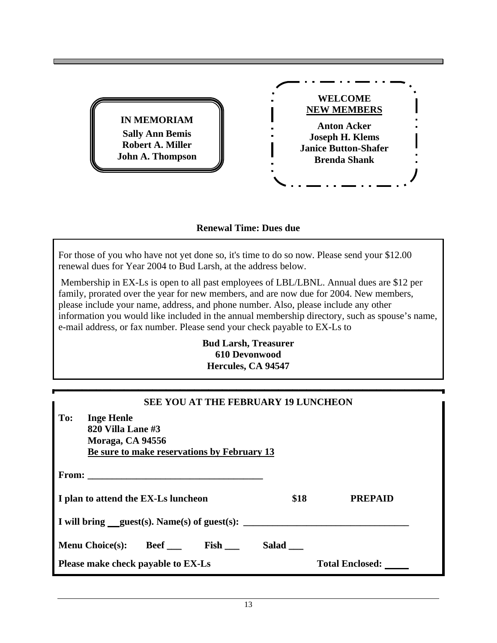

## **Renewal Time: Dues due**

For those of you who have not yet done so, it's time to do so now. Please send your \$12.00 renewal dues for Year 2004 to Bud Larsh, at the address below.

 Membership in EX-Ls is open to all past employees of LBL/LBNL. Annual dues are \$12 per family, prorated over the year for new members, and are now due for 2004. New members, please include your name, address, and phone number. Also, please include any other information you would like included in the annual membership directory, such as spouse's name, e-mail address, or fax number. Please send your check payable to EX-Ls to

> **Bud Larsh, Treasurer 610 Devonwood Hercules, CA 94547**

| <b>SEE YOU AT THE FEBRUARY 19 LUNCHEON</b>                                                                       |       |                        |  |  |  |
|------------------------------------------------------------------------------------------------------------------|-------|------------------------|--|--|--|
| To:<br><b>Inge Henle</b><br>820 Villa Lane #3<br>Moraga, CA 94556<br>Be sure to make reservations by February 13 |       |                        |  |  |  |
|                                                                                                                  |       |                        |  |  |  |
| I plan to attend the EX-Ls luncheon                                                                              | \$18  | <b>PREPAID</b>         |  |  |  |
| I will bring guest(s). Name(s) of guest(s):                                                                      |       |                        |  |  |  |
| Menu Choice(s): Beef _____ Fish ___                                                                              | Salad |                        |  |  |  |
| Please make check payable to EX-Ls                                                                               |       | <b>Total Enclosed:</b> |  |  |  |